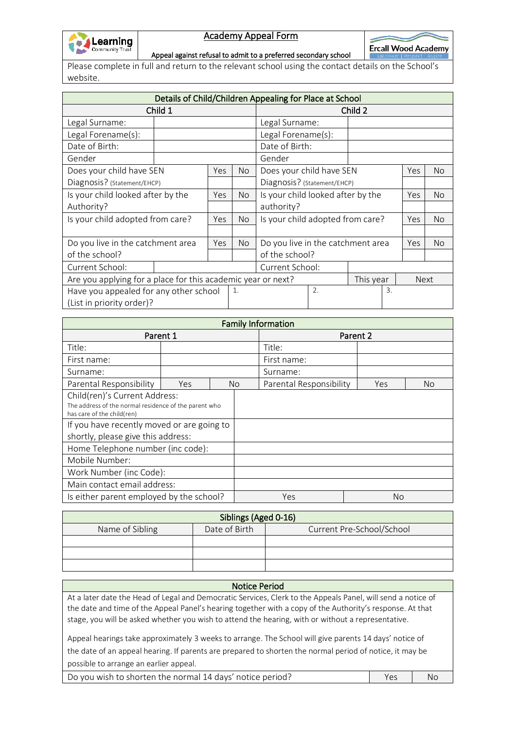

## Academy Appeal Form

 $\overline{\phantom{a}}$ **Ercall Wood Academy** 

Appeal against refusal to admit to a preferred secondary school

Please complete in full and return to the relevant school using the contact details on the School's website.

| Details of Child/Children Appealing for Place at School      |  |     |                          |                                   |  |           |            |             |  |
|--------------------------------------------------------------|--|-----|--------------------------|-----------------------------------|--|-----------|------------|-------------|--|
| Child 1                                                      |  |     |                          | Child 2                           |  |           |            |             |  |
| Legal Surname:                                               |  |     |                          | Legal Surname:                    |  |           |            |             |  |
| Legal Forename(s):                                           |  |     | Legal Forename(s):       |                                   |  |           |            |             |  |
| Date of Birth:                                               |  |     | Date of Birth:           |                                   |  |           |            |             |  |
| Gender                                                       |  |     | Gender                   |                                   |  |           |            |             |  |
| Does your child have SEN<br><b>Yes</b>                       |  | No. | Does your child have SEN |                                   |  | Yes       | No         |             |  |
| Diagnosis? (Statement/EHCP)                                  |  |     |                          | Diagnosis? (Statement/EHCP)       |  |           |            |             |  |
| Is your child looked after by the                            |  | Yes | No.                      | Is your child looked after by the |  |           | <b>Yes</b> | <b>No</b>   |  |
| Authority?                                                   |  |     |                          | authority?                        |  |           |            |             |  |
| Is your child adopted from care?                             |  | Yes | No.                      | Is your child adopted from care?  |  |           | Yes        | <b>No</b>   |  |
|                                                              |  |     |                          |                                   |  |           |            |             |  |
| Do you live in the catchment area                            |  | Yes | No.                      | Do you live in the catchment area |  |           | Yes        | No.         |  |
| of the school?                                               |  |     |                          | of the school?                    |  |           |            |             |  |
| Current School:                                              |  |     | Current School:          |                                   |  |           |            |             |  |
| Are you applying for a place for this academic year or next? |  |     |                          |                                   |  | This year |            | <b>Next</b> |  |
| Have you appealed for any other school                       |  | 1.  |                          | 2.                                |  | 3.        |            |             |  |
| (List in priority order)?                                    |  |     |                          |                                   |  |           |            |             |  |

| <b>Family Information</b>                                                                                            |     |  |           |                         |           |    |  |
|----------------------------------------------------------------------------------------------------------------------|-----|--|-----------|-------------------------|-----------|----|--|
| Parent 1                                                                                                             |     |  |           | Parent 2                |           |    |  |
| Title:                                                                                                               |     |  |           | Title:                  |           |    |  |
| First name:                                                                                                          |     |  |           | First name:             |           |    |  |
| Surname:                                                                                                             |     |  |           | Surname:                |           |    |  |
| Parental Responsibility                                                                                              | Yes |  | <b>No</b> | Parental Responsibility | Yes       | No |  |
| Child(ren)'s Current Address:<br>The address of the normal residence of the parent who<br>has care of the child(ren) |     |  |           |                         |           |    |  |
| If you have recently moved or are going to<br>shortly, please give this address:                                     |     |  |           |                         |           |    |  |
| Home Telephone number (inc code):                                                                                    |     |  |           |                         |           |    |  |
| Mobile Number:                                                                                                       |     |  |           |                         |           |    |  |
| Work Number (inc Code):                                                                                              |     |  |           |                         |           |    |  |
| Main contact email address:                                                                                          |     |  |           |                         |           |    |  |
| Is either parent employed by the school?                                                                             |     |  |           | Yes                     | <b>No</b> |    |  |

| Siblings (Aged 0-16) |               |                           |  |  |  |
|----------------------|---------------|---------------------------|--|--|--|
| Name of Sibling      | Date of Birth | Current Pre-School/School |  |  |  |
|                      |               |                           |  |  |  |
|                      |               |                           |  |  |  |
|                      |               |                           |  |  |  |

## Notice Period

At a later date the Head of Legal and Democratic Services, Clerk to the Appeals Panel, will send a notice of the date and time of the Appeal Panel's hearing together with a copy of the Authority's response. At that stage, you will be asked whether you wish to attend the hearing, with or without a representative.

Appeal hearings take approximately 3 weeks to arrange. The School will give parents 14 days' notice of the date of an appeal hearing. If parents are prepared to shorten the normal period of notice, it may be possible to arrange an earlier appeal.

Do you wish to shorten the normal 14 days' notice period? The Messon Muslem Res No